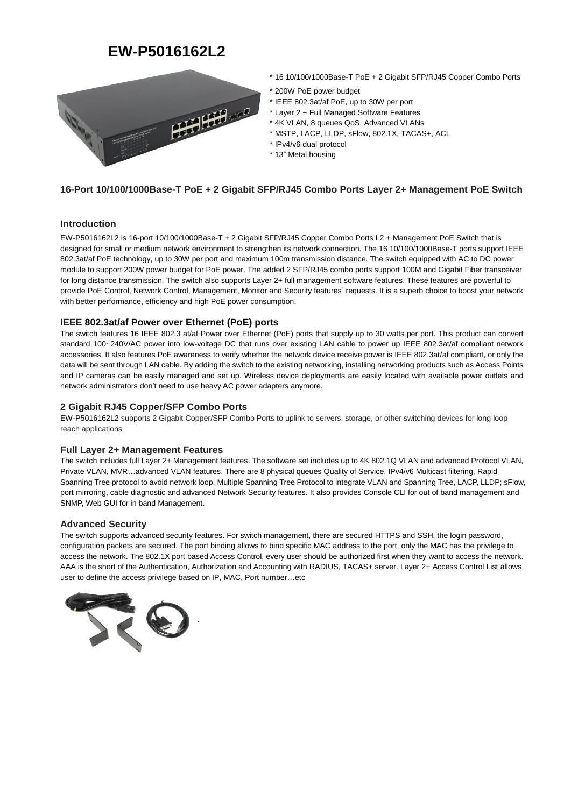# **EW-P5016162L2**



- \* 16 10/100/1000Base-T PoE + 2 Gigabit SFP/RJ45 Copper Combo Ports
- \* 200W PoE power budget
- \* IEEE 802.3at/af PoE, up to 30W per port
- \* Layer 2 + Full Managed Software Features
- \* 4K VLAN, 8 queues QoS, Advanced VLANs
- \* MSTP, LACP, LLDP, sFlow, 802.1X, TACAS+, ACL
- \* IPv4/v6 dual protocol
- \* 13" Metal housing

## **16-Port 10/100/1000Base-T PoE + 2 Gigabit SFP/RJ45 Combo Ports Layer 2+ Management PoE Switch**

### **Introduction**

EW-P5016162L2 is 16-port 10/100/1000Base-T + 2 Gigabit SFP/RJ45 Copper Combo Ports L2 + Management PoE Switch that is designed for small or medium network environment to strengthen its network connection. The 16 10/100/1000Base-T ports support IEEE 802.3at/af PoE technology, up to 30W per port and maximum 100m transmission distance. The switch equipped with AC to DC power module to support 200W power budget for PoE power. The added 2 SFP/RJ45 combo ports support 100M and Gigabit Fiber transceiver for long distance transmission. The switch also supports Layer 2+ full management software features. These features are powerful to provide PoE Control, Network Control, Management, Monitor and Security features' requests. It is a superb choice to boost your network with better performance, efficiency and high PoE power consumption.

## **IEEE 802.3at/af Power over Ethernet (PoE) ports**

The switch features 16 IEEE 802.3 at/af Power over Ethernet (PoE) ports that supply up to 30 watts per port. This product can convert standard 100~240V/AC power into low-voltage DC that runs over existing LAN cable to power up IEEE 802.3at/af compliant network accessories. It also features PoE awareness to verify whether the network device receive power is IEEE 802.3at/af compliant, or only the data will be sent through LAN cable. By adding the switch to the existing networking, installing networking products such as Access Points and IP cameras can be easily managed and set up. Wireless device deployments are easily located with available power outlets and network administrators don't need to use heavy AC power adapters anymore.

## **2 Gigabit RJ45 Copper/SFP Combo Ports**

EW-P5016162L2 supports 2 Gigabit Copper/SFP Combo Ports to uplink to servers, storage, or other switching devices for long loop reach applications

### **Full Layer 2+ Management Features**

The switch includes full Layer 2+ Management features. The software set includes up to 4K 802.1Q VLAN and advanced Protocol VLAN, Private VLAN, MVR…advanced VLAN features. There are 8 physical queues Quality of Service, IPv4/v6 Multicast filtering, Rapid Spanning Tree protocol to avoid network loop, Multiple Spanning Tree Protocol to integrate VLAN and Spanning Tree, LACP, LLDP; sFlow, port mirroring, cable diagnostic and advanced Network Security features. It also provides Console CLI for out of band management and SNMP, Web GUI for in band Management.

### **Advanced Security**

The switch supports advanced security features. For switch management, there are secured HTTPS and SSH, the login password, configuration packets are secured. The port binding allows to bind specific MAC address to the port, only the MAC has the privilege to access the network. The 802.1X port based Access Control, every user should be authorized first when they want to access the network. AAA is the short of the Authentication, Authorization and Accounting with RADIUS, TACAS+ server. Layer 2+ Access Control List allows user to define the access privilege based on IP, MAC, Port number…etc

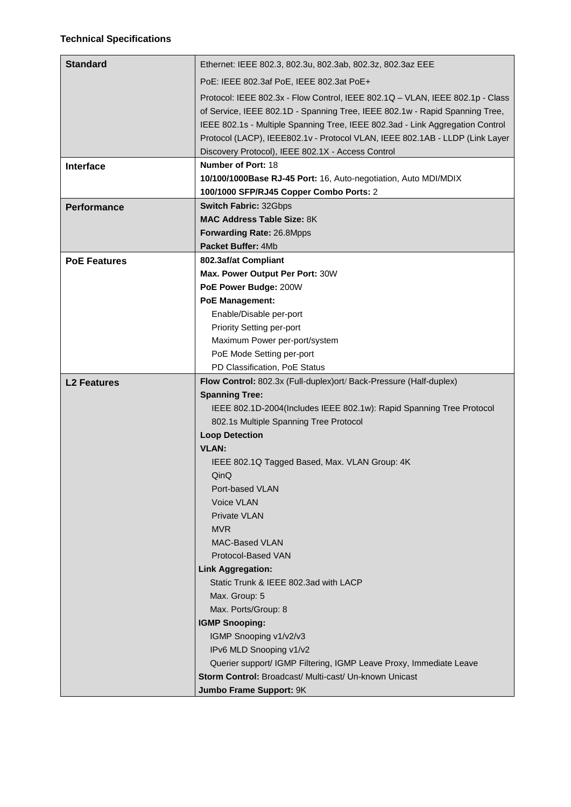| <b>Standard</b>     | Ethernet: IEEE 802.3, 802.3u, 802.3ab, 802.3z, 802.3az EEE                        |
|---------------------|-----------------------------------------------------------------------------------|
|                     | PoE: IEEE 802.3af PoE, IEEE 802.3at PoE+                                          |
|                     | Protocol: IEEE 802.3x - Flow Control, IEEE 802.1Q - VLAN, IEEE 802.1p - Class     |
|                     | of Service, IEEE 802.1D - Spanning Tree, IEEE 802.1w - Rapid Spanning Tree,       |
|                     | IEEE 802.1s - Multiple Spanning Tree, IEEE 802.3ad - Link Aggregation Control     |
|                     | Protocol (LACP), IEEE802.1v - Protocol VLAN, IEEE 802.1AB - LLDP (Link Layer      |
|                     | Discovery Protocol), IEEE 802.1X - Access Control                                 |
| Interface           | <b>Number of Port: 18</b>                                                         |
|                     | 10/100/1000Base RJ-45 Port: 16, Auto-negotiation, Auto MDI/MDIX                   |
|                     | 100/1000 SFP/RJ45 Copper Combo Ports: 2                                           |
| <b>Performance</b>  | <b>Switch Fabric: 32Gbps</b>                                                      |
|                     | <b>MAC Address Table Size: 8K</b>                                                 |
|                     | Forwarding Rate: 26.8Mpps                                                         |
|                     | Packet Buffer: 4Mb                                                                |
| <b>PoE Features</b> | 802.3af/at Compliant                                                              |
|                     | Max. Power Output Per Port: 30W                                                   |
|                     | PoE Power Budge: 200W                                                             |
|                     | <b>PoE Management:</b>                                                            |
|                     | Enable/Disable per-port                                                           |
|                     | Priority Setting per-port                                                         |
|                     | Maximum Power per-port/system                                                     |
|                     | PoE Mode Setting per-port<br>PD Classification, PoE Status                        |
|                     | Flow Control: 802.3x (Full-duplex) ort/ Back-Pressure (Half-duplex)               |
| <b>L2 Features</b>  |                                                                                   |
|                     |                                                                                   |
|                     | <b>Spanning Tree:</b>                                                             |
|                     | IEEE 802.1D-2004(Includes IEEE 802.1w): Rapid Spanning Tree Protocol              |
|                     | 802.1s Multiple Spanning Tree Protocol                                            |
|                     | <b>Loop Detection</b><br><b>VLAN:</b>                                             |
|                     |                                                                                   |
|                     | IEEE 802.1Q Tagged Based, Max. VLAN Group: 4K<br>QinQ                             |
|                     | Port-based VLAN                                                                   |
|                     | Voice VLAN                                                                        |
|                     | <b>Private VLAN</b>                                                               |
|                     | <b>MVR</b>                                                                        |
|                     | <b>MAC-Based VLAN</b>                                                             |
|                     | Protocol-Based VAN                                                                |
|                     | <b>Link Aggregation:</b>                                                          |
|                     | Static Trunk & IEEE 802.3ad with LACP                                             |
|                     | Max. Group: 5                                                                     |
|                     | Max. Ports/Group: 8                                                               |
|                     | <b>IGMP Snooping:</b>                                                             |
|                     | IGMP Snooping v1/v2/v3                                                            |
|                     | IPv6 MLD Snooping v1/v2                                                           |
|                     | Querier support/ IGMP Filtering, IGMP Leave Proxy, Immediate Leave                |
|                     | Storm Control: Broadcast/ Multi-cast/ Un-known Unicast<br>Jumbo Frame Support: 9K |